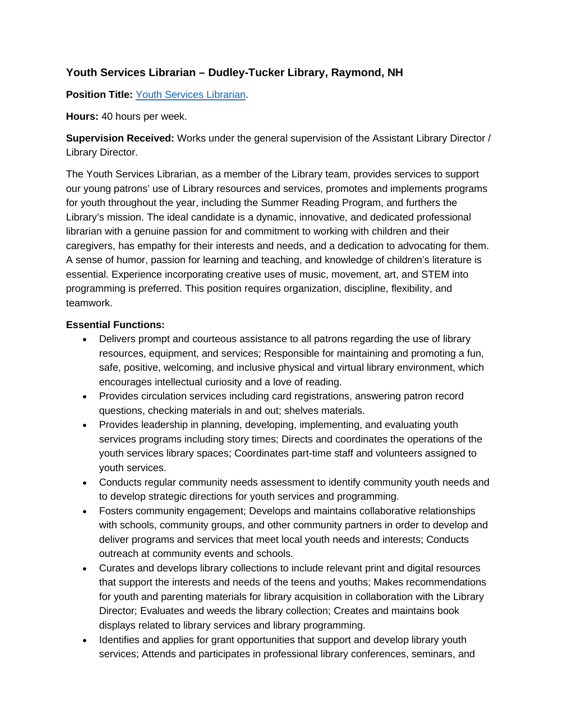# **Youth Services Librarian – Dudley-Tucker Library, Raymond, NH**

**Position Title:** [Youth Services Librarian.](file://dtl-dc/users/Director/Personnel/Job%20Descriptions/DTL-Youth%20Services%20Librarian.docx)

**Hours:** 40 hours per week.

**Supervision Received:** Works under the general supervision of the Assistant Library Director / Library Director.

The Youth Services Librarian, as a member of the Library team, provides services to support our young patrons' use of Library resources and services, promotes and implements programs for youth throughout the year, including the Summer Reading Program, and furthers the Library's mission. The ideal candidate is a dynamic, innovative, and dedicated professional librarian with a genuine passion for and commitment to working with children and their caregivers, has empathy for their interests and needs, and a dedication to advocating for them. A sense of humor, passion for learning and teaching, and knowledge of children's literature is essential. Experience incorporating creative uses of music, movement, art, and STEM into programming is preferred. This position requires organization, discipline, flexibility, and teamwork.

## **Essential Functions:**

- Delivers prompt and courteous assistance to all patrons regarding the use of library resources, equipment, and services; Responsible for maintaining and promoting a fun, safe, positive, welcoming, and inclusive physical and virtual library environment, which encourages intellectual curiosity and a love of reading.
- Provides circulation services including card registrations, answering patron record questions, checking materials in and out; shelves materials.
- Provides leadership in planning, developing, implementing, and evaluating youth services programs including story times; Directs and coordinates the operations of the youth services library spaces; Coordinates part-time staff and volunteers assigned to youth services.
- Conducts regular community needs assessment to identify community youth needs and to develop strategic directions for youth services and programming.
- Fosters community engagement; Develops and maintains collaborative relationships with schools, community groups, and other community partners in order to develop and deliver programs and services that meet local youth needs and interests; Conducts outreach at community events and schools.
- Curates and develops library collections to include relevant print and digital resources that support the interests and needs of the teens and youths; Makes recommendations for youth and parenting materials for library acquisition in collaboration with the Library Director; Evaluates and weeds the library collection; Creates and maintains book displays related to library services and library programming.
- Identifies and applies for grant opportunities that support and develop library youth services; Attends and participates in professional library conferences, seminars, and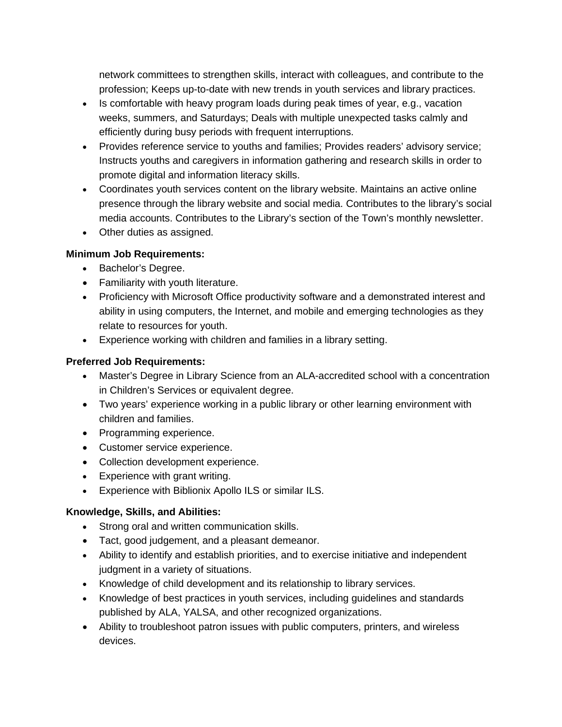network committees to strengthen skills, interact with colleagues, and contribute to the profession; Keeps up-to-date with new trends in youth services and library practices.

- Is comfortable with heavy program loads during peak times of year, e.g., vacation weeks, summers, and Saturdays; Deals with multiple unexpected tasks calmly and efficiently during busy periods with frequent interruptions.
- Provides reference service to youths and families; Provides readers' advisory service; Instructs youths and caregivers in information gathering and research skills in order to promote digital and information literacy skills.
- Coordinates youth services content on the library website. Maintains an active online presence through the library website and social media. Contributes to the library's social media accounts. Contributes to the Library's section of the Town's monthly newsletter.
- Other duties as assigned.

### **Minimum Job Requirements:**

- Bachelor's Degree.
- Familiarity with youth literature.
- Proficiency with Microsoft Office productivity software and a demonstrated interest and ability in using computers, the Internet, and mobile and emerging technologies as they relate to resources for youth.
- Experience working with children and families in a library setting.

### **Preferred Job Requirements:**

- Master's Degree in Library Science from an ALA-accredited school with a concentration in Children's Services or equivalent degree.
- Two years' experience working in a public library or other learning environment with children and families.
- Programming experience.
- Customer service experience.
- Collection development experience.
- Experience with grant writing.
- Experience with Biblionix Apollo ILS or similar ILS.

#### **Knowledge, Skills, and Abilities:**

- Strong oral and written communication skills.
- Tact, good judgement, and a pleasant demeanor.
- Ability to identify and establish priorities, and to exercise initiative and independent judgment in a variety of situations.
- Knowledge of child development and its relationship to library services.
- Knowledge of best practices in youth services, including guidelines and standards published by ALA, YALSA, and other recognized organizations.
- Ability to troubleshoot patron issues with public computers, printers, and wireless devices.